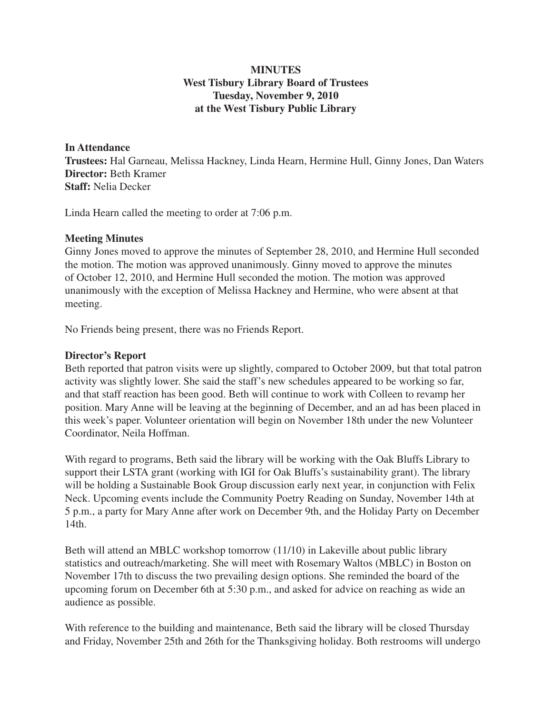#### **MINUTES West Tisbury Library Board of Trustees Tuesday, November 9, 2010 at the West Tisbury Public Library**

#### **In Attendance**

**Trustees:** Hal Garneau, Melissa Hackney, Linda Hearn, Hermine Hull, Ginny Jones, Dan Waters **Director:** Beth Kramer **Staff:** Nelia Decker

Linda Hearn called the meeting to order at 7:06 p.m.

#### **Meeting Minutes**

Ginny Jones moved to approve the minutes of September 28, 2010, and Hermine Hull seconded the motion. The motion was approved unanimously. Ginny moved to approve the minutes of October 12, 2010, and Hermine Hull seconded the motion. The motion was approved unanimously with the exception of Melissa Hackney and Hermine, who were absent at that meeting.

No Friends being present, there was no Friends Report.

#### **Director's Report**

Beth reported that patron visits were up slightly, compared to October 2009, but that total patron activity was slightly lower. She said the staff's new schedules appeared to be working so far, and that staff reaction has been good. Beth will continue to work with Colleen to revamp her position. Mary Anne will be leaving at the beginning of December, and an ad has been placed in this week's paper. Volunteer orientation will begin on November 18th under the new Volunteer Coordinator, Neila Hoffman.

With regard to programs, Beth said the library will be working with the Oak Bluffs Library to support their LSTA grant (working with IGI for Oak Bluffs's sustainability grant). The library will be holding a Sustainable Book Group discussion early next year, in conjunction with Felix Neck. Upcoming events include the Community Poetry Reading on Sunday, November 14th at 5 p.m., a party for Mary Anne after work on December 9th, and the Holiday Party on December 14th.

Beth will attend an MBLC workshop tomorrow (11/10) in Lakeville about public library statistics and outreach/marketing. She will meet with Rosemary Waltos (MBLC) in Boston on November 17th to discuss the two prevailing design options. She reminded the board of the upcoming forum on December 6th at 5:30 p.m., and asked for advice on reaching as wide an audience as possible.

With reference to the building and maintenance, Beth said the library will be closed Thursday and Friday, November 25th and 26th for the Thanksgiving holiday. Both restrooms will undergo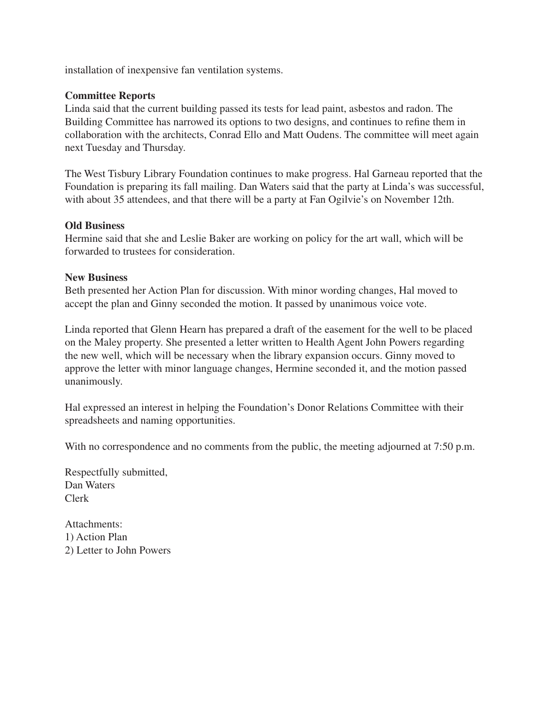installation of inexpensive fan ventilation systems.

#### **Committee Reports**

Linda said that the current building passed its tests for lead paint, asbestos and radon. The Building Committee has narrowed its options to two designs, and continues to refine them in collaboration with the architects, Conrad Ello and Matt Oudens. The committee will meet again next Tuesday and Thursday.

The West Tisbury Library Foundation continues to make progress. Hal Garneau reported that the Foundation is preparing its fall mailing. Dan Waters said that the party at Linda's was successful, with about 35 attendees, and that there will be a party at Fan Ogilvie's on November 12th.

#### **Old Business**

Hermine said that she and Leslie Baker are working on policy for the art wall, which will be forwarded to trustees for consideration.

#### **New Business**

Beth presented her Action Plan for discussion. With minor wording changes, Hal moved to accept the plan and Ginny seconded the motion. It passed by unanimous voice vote.

Linda reported that Glenn Hearn has prepared a draft of the easement for the well to be placed on the Maley property. She presented a letter written to Health Agent John Powers regarding the new well, which will be necessary when the library expansion occurs. Ginny moved to approve the letter with minor language changes, Hermine seconded it, and the motion passed unanimously.

Hal expressed an interest in helping the Foundation's Donor Relations Committee with their spreadsheets and naming opportunities.

With no correspondence and no comments from the public, the meeting adjourned at 7:50 p.m.

Respectfully submitted, Dan Waters Clerk

Attachments: 1) Action Plan 2) Letter to John Powers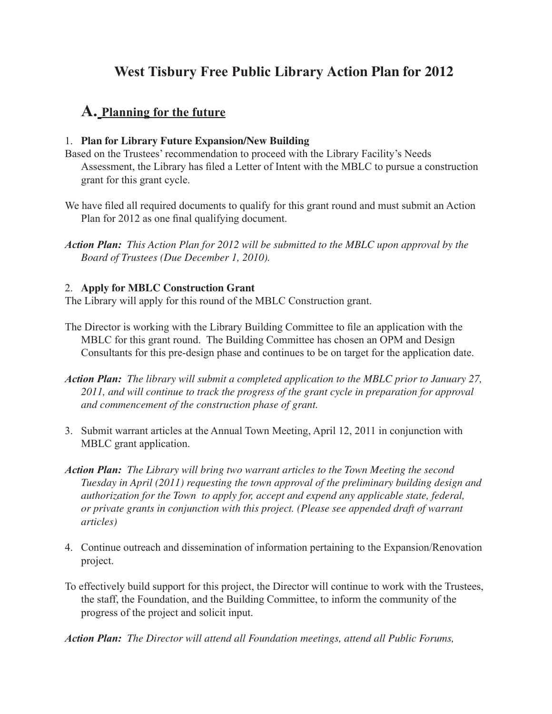# **West Tisbury Free Public Library Action Plan for 2012**

# **A. Planning for the future**

#### 1. **Plan for Library Future Expansion/New Building**

- Based on the Trustees' recommendation to proceed with the Library Facility's Needs Assessment, the Library has filed a Letter of Intent with the MBLC to pursue a construction grant for this grant cycle.
- We have filed all required documents to qualify for this grant round and must submit an Action Plan for 2012 as one final qualifying document.
- *Action Plan: This Action Plan for 2012 will be submitted to the MBLC upon approval by the Board of Trustees (Due December 1, 2010).*

### 2. **Apply for MBLC Construction Grant**

The Library will apply for this round of the MBLC Construction grant.

- The Director is working with the Library Building Committee to file an application with the MBLC for this grant round. The Building Committee has chosen an OPM and Design Consultants for this pre-design phase and continues to be on target for the application date.
- *Action Plan: The library will submit a completed application to the MBLC prior to January 27, 2011, and will continue to track the progress of the grant cycle in preparation for approval and commencement of the construction phase of grant.*
- 3. Submit warrant articles at the Annual Town Meeting, April 12, 2011 in conjunction with MBLC grant application.
- *Action Plan: The Library will bring two warrant articles to the Town Meeting the second Tuesday in April (2011) requesting the town approval of the preliminary building design and authorization for the Town to apply for, accept and expend any applicable state, federal, or private grants in conjunction with this project. (Please see appended draft of warrant articles)*
- 4. Continue outreach and dissemination of information pertaining to the Expansion/Renovation project.
- To effectively build support for this project, the Director will continue to work with the Trustees, the staff, the Foundation, and the Building Committee, to inform the community of the progress of the project and solicit input.

*Action Plan: The Director will attend all Foundation meetings, attend all Public Forums,*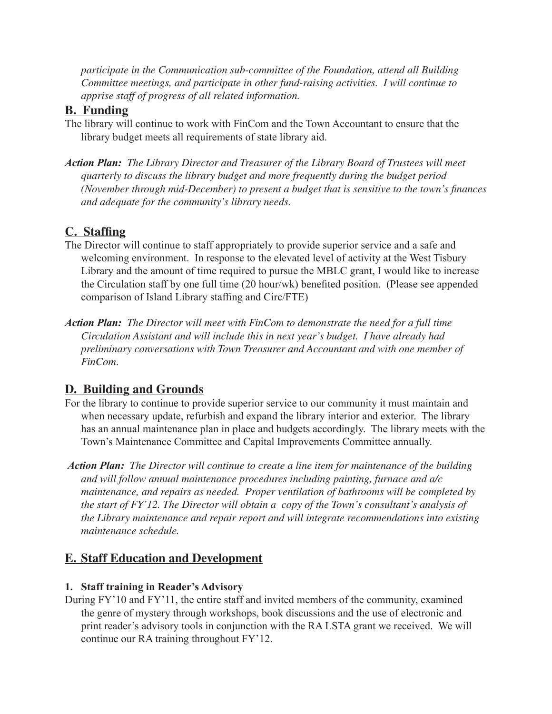*participate in the Communication sub-committee of the Foundation, attend all Building Committee meetings, and participate in other fund-raising activities. I will continue to apprise staff of progress of all related information.* 

### **B. Funding**

- The library will continue to work with FinCom and the Town Accountant to ensure that the library budget meets all requirements of state library aid.
- *Action Plan: The Library Director and Treasurer of the Library Board of Trustees will meet quarterly to discuss the library budget and more frequently during the budget period (November through mid-December) to present a budget that is sensitive to the town's finances and adequate for the community's library needs.*

# **C. Staffing**

- The Director will continue to staff appropriately to provide superior service and a safe and welcoming environment. In response to the elevated level of activity at the West Tisbury Library and the amount of time required to pursue the MBLC grant, I would like to increase the Circulation staff by one full time (20 hour/wk) benefited position. (Please see appended comparison of Island Library staffing and Circ/FTE)
- *Action Plan: The Director will meet with FinCom to demonstrate the need for a full time Circulation Assistant and will include this in next year's budget. I have already had preliminary conversations with Town Treasurer and Accountant and with one member of FinCom*.

# **D. Building and Grounds**

- For the library to continue to provide superior service to our community it must maintain and when necessary update, refurbish and expand the library interior and exterior. The library has an annual maintenance plan in place and budgets accordingly. The library meets with the Town's Maintenance Committee and Capital Improvements Committee annually.
- *Action Plan: The Director will continue to create a line item for maintenance of the building and will follow annual maintenance procedures including painting, furnace and a/c maintenance, and repairs as needed. Proper ventilation of bathrooms will be completed by the start of FY'12. The Director will obtain a copy of the Town's consultant's analysis of the Library maintenance and repair report and will integrate recommendations into existing maintenance schedule.*

# **E. Staff Education and Development**

### **1. Staff training in Reader's Advisory**

During FY'10 and FY'11, the entire staff and invited members of the community, examined the genre of mystery through workshops, book discussions and the use of electronic and print reader's advisory tools in conjunction with the RA LSTA grant we received. We will continue our RA training throughout FY'12.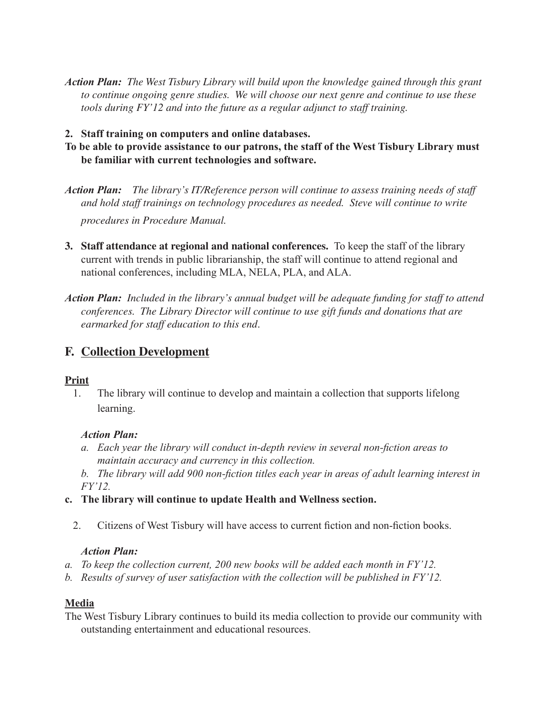- *Action Plan: The West Tisbury Library will build upon the knowledge gained through this grant to continue ongoing genre studies. We will choose our next genre and continue to use these tools during FY'12 and into the future as a regular adjunct to staff training.*
- **2. Staff training on computers and online databases.**
- **To be able to provide assistance to our patrons, the staff of the West Tisbury Library must be familiar with current technologies and software.**
- *Action Plan: The library's IT/Reference person will continue to assess training needs of staff and hold staff trainings on technology procedures as needed. Steve will continue to write procedures in Procedure Manual.*
- **3. Staff attendance at regional and national conferences.** To keep the staff of the library current with trends in public librarianship, the staff will continue to attend regional and national conferences, including MLA, NELA, PLA, and ALA.
- *Action Plan: Included in the library's annual budget will be adequate funding for staff to attend conferences. The Library Director will continue to use gift funds and donations that are earmarked for staff education to this end*.

# **F. Collection Development**

#### **Print**

1. The library will continue to develop and maintain a collection that supports lifelong learning.

#### *Action Plan:*

- *a. Each year the library will conduct in-depth review in several non-fiction areas to maintain accuracy and currency in this collection.*
- *b. The library will add 900 non-fiction titles each year in areas of adult learning interest in FY'12.*
- **c. The library will continue to update Health and Wellness section.**
	- 2. Citizens of West Tisbury will have access to current fiction and non-fiction books.

#### *Action Plan:*

- *a. To keep the collection current, 200 new books will be added each month in FY'12.*
- *b. Results of survey of user satisfaction with the collection will be published in FY'12.*

#### **Media**

The West Tisbury Library continues to build its media collection to provide our community with outstanding entertainment and educational resources.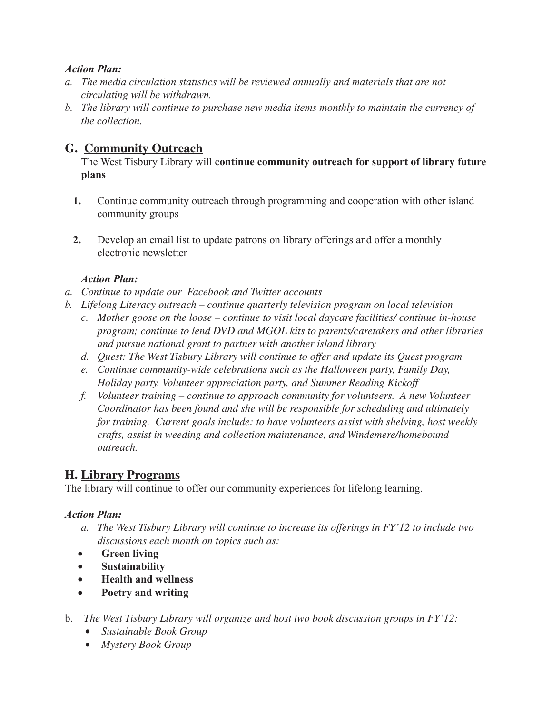#### *Action Plan:*

- *a. The media circulation statistics will be reviewed annually and materials that are not circulating will be withdrawn.*
- *b. The library will continue to purchase new media items monthly to maintain the currency of the collection.*

# **G. Community Outreach**

The West Tisbury Library will c**ontinue community outreach for support of library future plans**

- **1.** Continue community outreach through programming and cooperation with other island community groups
- **2.** Develop an email list to update patrons on library offerings and offer a monthly electronic newsletter

### *Action Plan:*

- *a. Continue to update our Facebook and Twitter accounts*
- *b. Lifelong Literacy outreach continue quarterly television program on local television*
	- *c. Mother goose on the loose continue to visit local daycare facilities/ continue in-house program; continue to lend DVD and MGOL kits to parents/caretakers and other libraries and pursue national grant to partner with another island library*
	- *d. Quest: The West Tisbury Library will continue to offer and update its Quest program*
	- *e. Continue community-wide celebrations such as the Halloween party, Family Day, Holiday party, Volunteer appreciation party, and Summer Reading Kickoff*
	- *f. Volunteer training continue to approach community for volunteers. A new Volunteer Coordinator has been found and she will be responsible for scheduling and ultimately for training. Current goals include: to have volunteers assist with shelving, host weekly crafts, assist in weeding and collection maintenance, and Windemere/homebound outreach.*

# **H. Library Programs**

The library will continue to offer our community experiences for lifelong learning.

### *Action Plan:*

- *a. The West Tisbury Library will continue to increase its offerings in FY'12 to include two discussions each month on topics such as:*
- • **Green living**
- • **Sustainability**
- • **Health and wellness**
- • **Poetry and writing**
- b. *The West Tisbury Library will organize and host two book discussion groups in FY'12:*
	- • *Sustainable Book Group*
	- • *Mystery Book Group*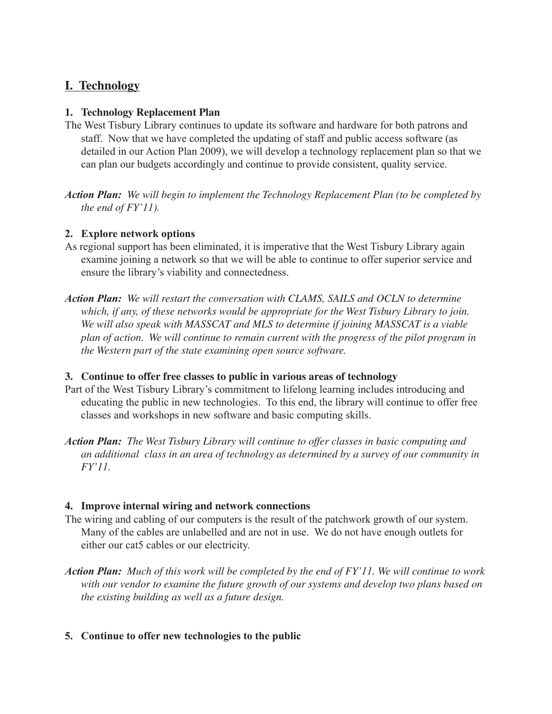# **I. Technology**

### **1. Technology Replacement Plan**

The West Tisbury Library continues to update its software and hardware for both patrons and staff. Now that we have completed the updating of staff and public access software (as detailed in our Action Plan 2009), we will develop a technology replacement plan so that we can plan our budgets accordingly and continue to provide consistent, quality service.

*Action Plan: We will begin to implement the Technology Replacement Plan (to be completed by the end of FY'11).*

### **2. Explore network options**

- As regional support has been eliminated, it is imperative that the West Tisbury Library again examine joining a network so that we will be able to continue to offer superior service and ensure the library's viability and connectedness.
- *Action Plan: We will restart the conversation with CLAMS, SAILS and OCLN to determine which, if any, of these networks would be appropriate for the West Tisbury Library to join. We will also speak with MASSCAT and MLS to determine if joining MASSCAT is a viable plan of action. We will continue to remain current with the progress of the pilot program in the Western part of the state examining open source software.*

#### **3. Continue to offer free classes to public in various areas of technology**

- Part of the West Tisbury Library's commitment to lifelong learning includes introducing and educating the public in new technologies. To this end, the library will continue to offer free classes and workshops in new software and basic computing skills.
- *Action Plan: The West Tisbury Library will continue to offer classes in basic computing and an additional class in an area of technology as determined by a survey of our community in FY'11.*

#### **4. Improve internal wiring and network connections**

- The wiring and cabling of our computers is the result of the patchwork growth of our system. Many of the cables are unlabelled and are not in use. We do not have enough outlets for either our cat5 cables or our electricity.
- *Action Plan: Much of this work will be completed by the end of FY'11. We will continue to work with our vendor to examine the future growth of our systems and develop two plans based on the existing building as well as a future design.*

### **5. Continue to offer new technologies to the public**